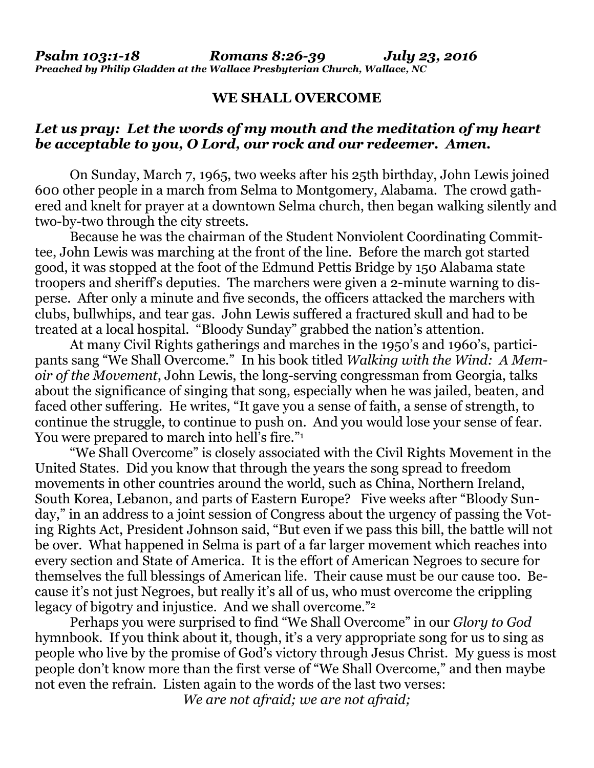## **WE SHALL OVERCOME**

## *Let us pray: Let the words of my mouth and the meditation of my heart be acceptable to you, O Lord, our rock and our redeemer. Amen.*

On Sunday, March 7, 1965, two weeks after his 25th birthday, John Lewis joined 600 other people in a march from Selma to Montgomery, Alabama. The crowd gathered and knelt for prayer at a downtown Selma church, then began walking silently and two-by-two through the city streets.

Because he was the chairman of the Student Nonviolent Coordinating Committee, John Lewis was marching at the front of the line. Before the march got started good, it was stopped at the foot of the Edmund Pettis Bridge by 150 Alabama state troopers and sheriff's deputies. The marchers were given a 2-minute warning to disperse. After only a minute and five seconds, the officers attacked the marchers with clubs, bullwhips, and tear gas. John Lewis suffered a fractured skull and had to be treated at a local hospital. "Bloody Sunday" grabbed the nation's attention.

At many Civil Rights gatherings and marches in the 1950's and 1960's, participants sang "We Shall Overcome." In his book titled *Walking with the Wind: A Memoir of the Movement*, John Lewis, the long-serving congressman from Georgia, talks about the significance of singing that song, especially when he was jailed, beaten, and faced other suffering. He writes, "It gave you a sense of faith, a sense of strength, to continue the struggle, to continue to push on. And you would lose your sense of fear. You were prepared to march into hell's fire."<sup>1</sup>

"We Shall Overcome" is closely associated with the Civil Rights Movement in the United States. Did you know that through the years the song spread to freedom movements in other countries around the world, such as China, Northern Ireland, South Korea, Lebanon, and parts of Eastern Europe? Five weeks after "Bloody Sunday," in an address to a joint session of Congress about the urgency of passing the Voting Rights Act, President Johnson said, "But even if we pass this bill, the battle will not be over. What happened in Selma is part of a far larger movement which reaches into every section and State of America. It is the effort of American Negroes to secure for themselves the full blessings of American life. Their cause must be our cause too. Because it's not just Negroes, but really it's all of us, who must overcome the crippling legacy of bigotry and injustice. And we shall overcome."2

Perhaps you were surprised to find "We Shall Overcome" in our *Glory to God* hymnbook. If you think about it, though, it's a very appropriate song for us to sing as people who live by the promise of God's victory through Jesus Christ. My guess is most people don't know more than the first verse of "We Shall Overcome," and then maybe not even the refrain. Listen again to the words of the last two verses:

*We are not afraid; we are not afraid;*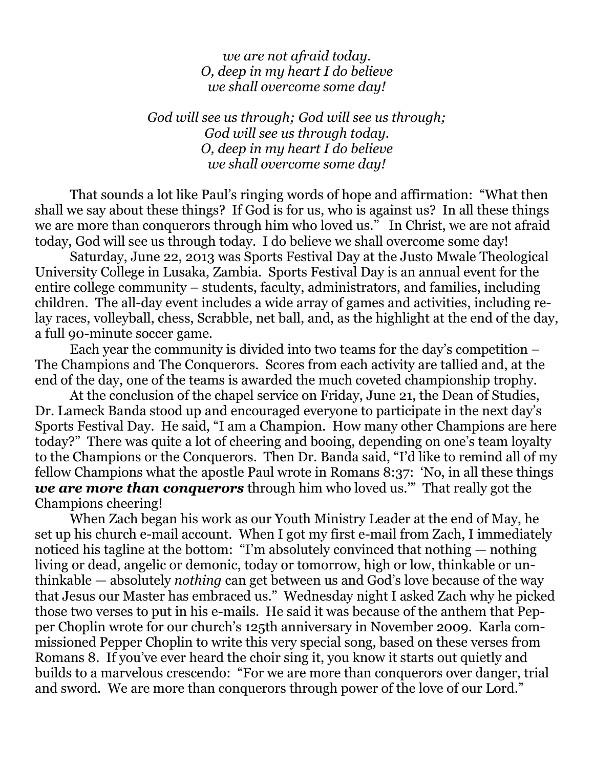*we are not afraid today. O, deep in my heart I do believe we shall overcome some day!*

*God will see us through; God will see us through; God will see us through today. O, deep in my heart I do believe we shall overcome some day!*

That sounds a lot like Paul's ringing words of hope and affirmation: "What then shall we say about these things? If God is for us, who is against us? In all these things we are more than conquerors through him who loved us." In Christ, we are not afraid today, God will see us through today. I do believe we shall overcome some day!

Saturday, June 22, 2013 was Sports Festival Day at the Justo Mwale Theological University College in Lusaka, Zambia. Sports Festival Day is an annual event for the entire college community – students, faculty, administrators, and families, including children. The all-day event includes a wide array of games and activities, including relay races, volleyball, chess, Scrabble, net ball, and, as the highlight at the end of the day, a full 90-minute soccer game.

Each year the community is divided into two teams for the day's competition – The Champions and The Conquerors. Scores from each activity are tallied and, at the end of the day, one of the teams is awarded the much coveted championship trophy.

At the conclusion of the chapel service on Friday, June 21, the Dean of Studies, Dr. Lameck Banda stood up and encouraged everyone to participate in the next day's Sports Festival Day. He said, "I am a Champion. How many other Champions are here today?" There was quite a lot of cheering and booing, depending on one's team loyalty to the Champions or the Conquerors. Then Dr. Banda said, "I'd like to remind all of my fellow Champions what the apostle Paul wrote in Romans 8:37: 'No, in all these things *we are more than conquerors* through him who loved us.'" That really got the Champions cheering!

When Zach began his work as our Youth Ministry Leader at the end of May, he set up his church e-mail account. When I got my first e-mail from Zach, I immediately noticed his tagline at the bottom: "I'm absolutely convinced that nothing — nothing living or dead, angelic or demonic, today or tomorrow, high or low, thinkable or unthinkable — absolutely *nothing* can get between us and God's love because of the way that Jesus our Master has embraced us." Wednesday night I asked Zach why he picked those two verses to put in his e-mails. He said it was because of the anthem that Pepper Choplin wrote for our church's 125th anniversary in November 2009. Karla commissioned Pepper Choplin to write this very special song, based on these verses from Romans 8. If you've ever heard the choir sing it, you know it starts out quietly and builds to a marvelous crescendo: "For we are more than conquerors over danger, trial and sword. We are more than conquerors through power of the love of our Lord."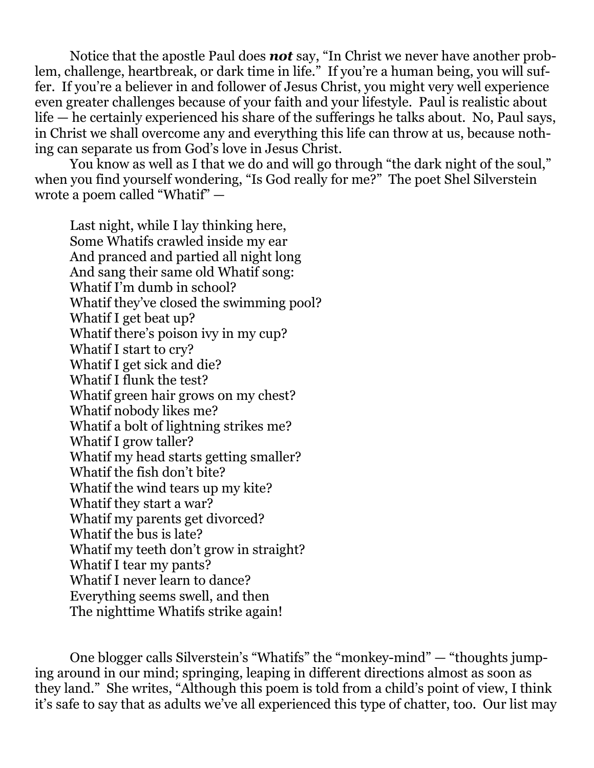Notice that the apostle Paul does *not* say, "In Christ we never have another problem, challenge, heartbreak, or dark time in life." If you're a human being, you will suffer. If you're a believer in and follower of Jesus Christ, you might very well experience even greater challenges because of your faith and your lifestyle. Paul is realistic about life — he certainly experienced his share of the sufferings he talks about. No, Paul says, in Christ we shall overcome any and everything this life can throw at us, because nothing can separate us from God's love in Jesus Christ.

You know as well as I that we do and will go through "the dark night of the soul," when you find yourself wondering, "Is God really for me?" The poet Shel Silverstein wrote a poem called "Whatif" —

Last night, while I lay thinking here, Some Whatifs crawled inside my ear And pranced and partied all night long And sang their same old Whatif song: Whatif I'm dumb in school? Whatif they've closed the swimming pool? Whatif I get beat up? What if there's poison ivy in my cup? Whatif I start to cry? Whatif I get sick and die? Whatif I flunk the test? Whatif green hair grows on my chest? Whatif nobody likes me? Whatif a bolt of lightning strikes me? Whatif I grow taller? Whatif my head starts getting smaller? Whatif the fish don't bite? Whatif the wind tears up my kite? Whatif they start a war? Whatif my parents get divorced? Whatif the bus is late? Whatif my teeth don't grow in straight? Whatif I tear my pants? Whatif I never learn to dance? Everything seems swell, and then The nighttime Whatifs strike again!

One blogger calls Silverstein's "Whatifs" the "monkey-mind" — "thoughts jumping around in our mind; springing, leaping in different directions almost as soon as they land." She writes, "Although this poem is told from a child's point of view, I think it's safe to say that as adults we've all experienced this type of chatter, too. Our list may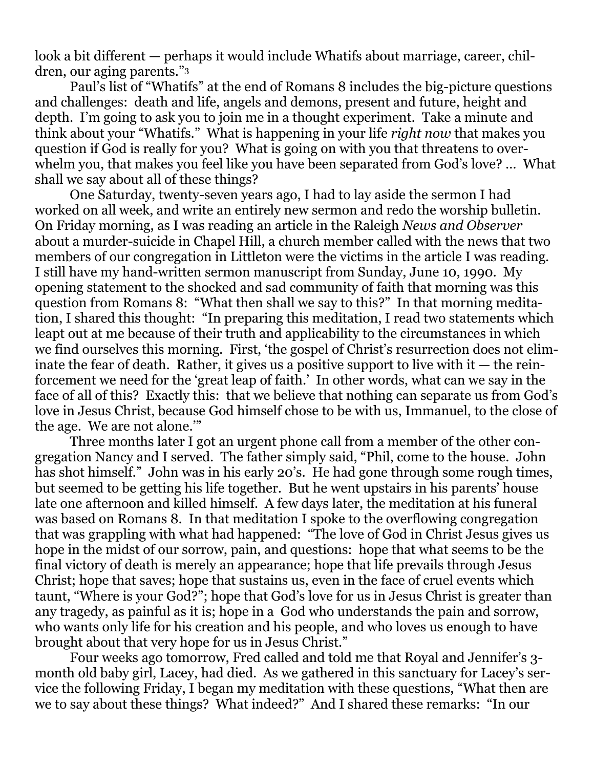look a bit different — perhaps it would include Whatifs about marriage, career, children, our aging parents."<sup>3</sup>

Paul's list of "Whatifs" at the end of Romans 8 includes the big-picture questions and challenges: death and life, angels and demons, present and future, height and depth. I'm going to ask you to join me in a thought experiment. Take a minute and think about your "Whatifs." What is happening in your life *right now* that makes you question if God is really for you? What is going on with you that threatens to overwhelm you, that makes you feel like you have been separated from God's love? … What shall we say about all of these things?

One Saturday, twenty-seven years ago, I had to lay aside the sermon I had worked on all week, and write an entirely new sermon and redo the worship bulletin. On Friday morning, as I was reading an article in the Raleigh *News and Observer* about a murder-suicide in Chapel Hill, a church member called with the news that two members of our congregation in Littleton were the victims in the article I was reading. I still have my hand-written sermon manuscript from Sunday, June 10, 1990. My opening statement to the shocked and sad community of faith that morning was this question from Romans 8: "What then shall we say to this?" In that morning meditation, I shared this thought: "In preparing this meditation, I read two statements which leapt out at me because of their truth and applicability to the circumstances in which we find ourselves this morning. First, 'the gospel of Christ's resurrection does not eliminate the fear of death. Rather, it gives us a positive support to live with  $it$  — the reinforcement we need for the 'great leap of faith.' In other words, what can we say in the face of all of this? Exactly this: that we believe that nothing can separate us from God's love in Jesus Christ, because God himself chose to be with us, Immanuel, to the close of the age. We are not alone.'"

Three months later I got an urgent phone call from a member of the other congregation Nancy and I served. The father simply said, "Phil, come to the house. John has shot himself." John was in his early 20's. He had gone through some rough times, but seemed to be getting his life together. But he went upstairs in his parents' house late one afternoon and killed himself. A few days later, the meditation at his funeral was based on Romans 8. In that meditation I spoke to the overflowing congregation that was grappling with what had happened: "The love of God in Christ Jesus gives us hope in the midst of our sorrow, pain, and questions: hope that what seems to be the final victory of death is merely an appearance; hope that life prevails through Jesus Christ; hope that saves; hope that sustains us, even in the face of cruel events which taunt, "Where is your God?"; hope that God's love for us in Jesus Christ is greater than any tragedy, as painful as it is; hope in a God who understands the pain and sorrow, who wants only life for his creation and his people, and who loves us enough to have brought about that very hope for us in Jesus Christ."

Four weeks ago tomorrow, Fred called and told me that Royal and Jennifer's 3 month old baby girl, Lacey, had died. As we gathered in this sanctuary for Lacey's service the following Friday, I began my meditation with these questions, "What then are we to say about these things? What indeed?" And I shared these remarks: "In our